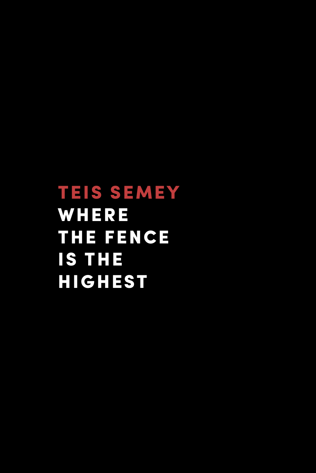TEIS SEMEY **WHERE** THE FENCE IS THE HIGHEST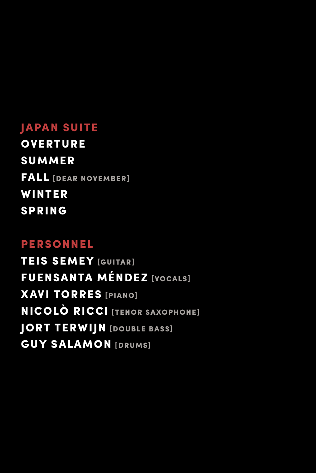## JAPAN SUITE

**OVERTURE** SUMMER FALL [DEAR NOVEMBER] WINTER SPRING

## PERSONNEL

TEIS SEMEY [GUITAR] FUENSANTA MÉNDEZ [VOCALS] XAVI TORRES [PIANO] NICOLÒ RICCI [TENOR SAXOPHONE] **JORT TERWIJN** [DOUBLE BASS] **GUY SALAMON [DRUMS]**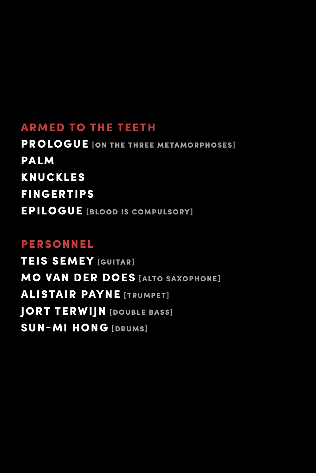# ARMED TO THE TEETH

PROLOGUE [ON THE THREE METAMORPHOSES] PALM KNUCKLES FINGERTIPS EPILOGUE [BLOOD IS COMPULSORY]

# PERSONNEL

TEIS SEMEY [GUITAR] **MO VAN DER DOES [ALTO SAXOPHONE] ALISTAIR PAYNE [TRUMPET]** JORT TERWIJN [DOUBLE BASS] SUN-MI HONG [DRUMS]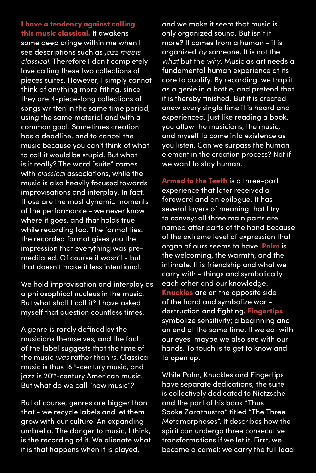I have a tendency against calling this music classical. It awakens some deep cringe within me when I see descriptions such as *jazz meets classical.* Therefore I don't completely love calling these two collections of pieces suites. However, I simply cannot think of anything more fitting, since they are 4-piece-long collections of songs written in the same time period, using the same material and with a common goal. Sometimes creation has a deadline, and to cancel the music because you can't think of what to call it would be stupid. But what is it really? The word "suite" comes with *classical* associations, while the music is also heavily focused towards improvisations and interplay. In fact, those are the most dynamic moments of the performance - we never know where it goes, and that holds true while recording too. The format lies: the recorded format gives you the impression that everything was premeditated. Of course it wasn't - but that doesn't make it less intentional.

We hold improvisation and interplay as a philosophical nucleus in the music. But what shall I call it? I have asked myself that question countless times.

A genre is rarely defined by the musicians themselves, and the fact of the label suggests that the time of the music *was* rather than *is*. Classical music is thus 18<sup>th</sup>-century music, and jazz is 20<sup>th</sup>-century American music. But what do we call "now music"?

But of course, genres are bigger than that - we recycle labels and let them grow with our culture. An expanding umbrella. The danger to music, I think, is the recording of it. We alienate what it is that happens when it is played,

and we make it seem that music is only organized sound. But isn't it more? It comes from a human - it is organized *by* someone. It is not the *what* but the *why*. Music as art needs a fundamental human experience at its core to qualify. By recording, we trap it as a genie in a bottle, and pretend that it is thereby finished. But it is created anew every single time it is heard and experienced. Just like reading a book, you allow the musicians, the music, and myself to come into existence as you listen. Can we surpass the human element in the creation process? Not if we want to stay human.

Armed to the Teeth is a three-part experience that later received a foreword and an epilogue. It has several layers of meaning that I try to convey: all three main parts are named after parts of the hand because of the extreme level of expression that organ of ours seems to have. **Palm** is the welcoming, the warmth, and the intimate. It is friendship and what we carry with - things and symbolically each other and our knowledge. Knuckles are on the opposite side of the hand and symbolize war destruction and fighting. Fingertips symbolize sensitivity; a beginning and an end at the same time. If we eat with our eyes, maybe we also see with our hands. To touch is to get to know and to open up.

While Palm, Knuckles and Fingertips have separate dedications, the suite is collectively dedicated to Nietzsche and the part of his book "Thus Spoke Zarathustra" titled "The Three Metamorphoses". It describes how the spirit can undergo three consecutive transformations if we let it. First, we become a camel: we carry the full load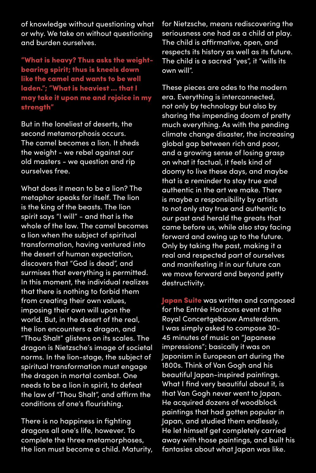of knowledge without questioning what or why. We take on without questioning and burden ourselves.

"What is heavy? Thus asks the weightbearing spirit; thus is kneels down like the camel and wants to be well laden."; "What is heaviest ... that I may take it upon me and rejoice in my strength"

But in the loneliest of deserts, the second metamorphosis occurs. The camel becomes a lion. It sheds the weight - we rebel against our old masters - we question and rip ourselves free.

What does it mean to be a lion? The metaphor speaks for itself. The lion is the king of the beasts. The lion spirit says "I will" - and that is the whole of the law. The camel becomes a lion when the subject of spiritual transformation, having ventured into the desert of human expectation, discovers that "God is dead", and surmises that everything is permitted. In this moment, the individual realizes that there is nothing to forbid them from creating their own values, imposing their own will upon the world. But, in the desert of the real, the lion encounters a dragon, and "Thou Shalt" glistens on its scales. The dragon is Nietzsche's image of societal norms. In the lion-stage, the subject of spiritual transformation must engage the dragon in mortal combat. One needs to be a lion in spirit, to defeat the law of "Thou Shalt", and affirm the conditions of one's flourishing.

There is no happiness in fighting dragons all one's life, however. To complete the three metamorphoses, the lion must become a child. Maturity, for Nietzsche, means rediscovering the seriousness one had as a child at play. The child is affirmative, open, and respects its history as well as its future. The child is a sacred "yes", it "wills its own will".

These pieces are odes to the modern era. Everything is interconnected, not only by technology but also by sharing the impending doom of pretty much everything. As with the pending climate change disaster, the increasing global gap between rich and poor, and a growing sense of losing grasp on what it factual, it feels kind of doomy to live these days, and maybe that is a reminder to stay true and authentic in the art we make. There is maybe a responsibility by artists to not only stay true and authentic to our past and herald the greats that came before us, while also stay facing forward and owing up to the future. Only by taking the past, making it a real and respected part of ourselves and manifesting it in our future can we move forward and beyond petty destructivity.

Japan Suite was written and composed for the Entrée Horizons event at the Royal Concertgebouw Amsterdam. I was simply asked to compose 30- 45 minutes of music on "Japanese impressions"; basically it was on Japonism in European art during the 1800s. Think of Van Gogh and his beautiful Japan-inspired paintings. What I find very beautiful about it, is that Van Gogh never went to Japan. He acquired dozens of woodblock paintings that had gotten popular in Japan, and studied them endlessly. He let himself get completely carried away with those paintings, and built his fantasies about what Japan was like.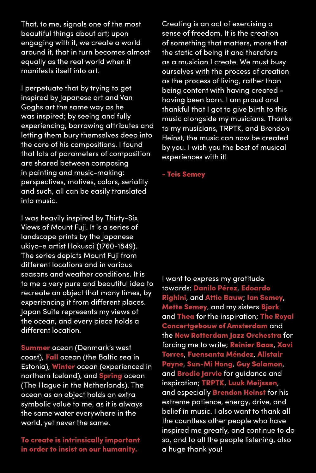That, to me, signals one of the most beautiful things about art; upon engaging with it, we create a world around it, that in turn becomes almost equally as the real world when it manifests itself into art.

I perpetuate that by trying to get inspired by Japanese art and Van Goghs art the same way as he was inspired; by seeing and fully experiencing, borrowing attributes and letting them bury themselves deep into the core of his compositions. I found that lots of parameters of composition are shared between composing in painting and music-making: perspectives, motives, colors, seriality and such, all can be easily translated into music.

I was heavily inspired by Thirty-Six Views of Mount Fuji. It is a series of landscape prints by the Japanese ukiyo-e artist Hokusai (1760-1849). The series depicts Mount Fuji from different locations and in various seasons and weather conditions. It is to me a very pure and beautiful idea to recreate an object that many times, by experiencing it from different places. Japan Suite represents my views of the ocean, and every piece holds a different location.

Summer ocean (Denmark's west coast), Fall ocean (the Baltic sea in Estonia), Winter ocean (experienced in northern Iceland), and Spring ocean (The Hague in the Netherlands). The ocean as an object holds an extra symbolic value to me, as it is always the same water everywhere in the world, yet never the same.

To create is intrinsically important in order to insist on our humanity.

Creating is an act of exercising a sense of freedom. It is the creation of something that matters, more that the static of being it and therefore as a musician I create. We must busy ourselves with the process of creation as the process of living, rather than being content with having created having been born. I am proud and thankful that I got to give birth to this music alongside my musicians. Thanks to my musicians, TRPTK, and Brendon Heinst, the music can now be created by you. I wish you the best of musical experiences with it!

- Teis Semey

I want to express my gratitude towards: Danilo Pérez, Edoardo Righini, and Attie Bauw; Ian Semey, Mette Semey, and my sisters Bjørk and Thea for the inspiration; The Royal Concertgebouw of Amsterdam and the New Rotterdam Jazz Orchestra for forcing me to write; Reinier Baas, Xavi Torres, Fuensanta Méndez, Alistair Payne, Sun-Mi Hong, Guy Salamon, and **Brodie Jarvie** for guidance and inspiration; TRPTK, Luuk Meijssen, and especially **Brendon Heinst** for his extreme patience, energy, drive, and belief in music. I also want to thank all the countless other people who have inspired me greatly, and continue to do so, and to all the people listening, also a huge thank you!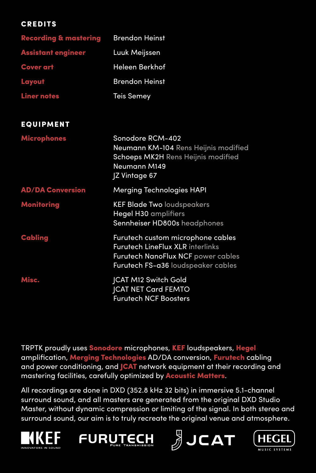#### **CREDITS**

| <b>Recording &amp; mastering</b> | <b>Brendon Heinst</b>                                                                                                                                    |
|----------------------------------|----------------------------------------------------------------------------------------------------------------------------------------------------------|
| <b>Assistant engineer</b>        | Luuk Meijssen                                                                                                                                            |
| <b>Cover art</b>                 | Heleen Berkhof                                                                                                                                           |
| Layout                           | <b>Brendon Heinst</b>                                                                                                                                    |
| <b>Liner notes</b>               | <b>Teis Semey</b>                                                                                                                                        |
| <b>EQUIPMENT</b>                 |                                                                                                                                                          |
| <b>Microphones</b>               | Sonodore RCM-402<br>Neumann KM-104 Rens Heijnis modified<br>Schoeps MK2H Rens Heijnis modified<br>Neumann M149<br><b>Z</b> Vintage 67                    |
| <b>AD/DA Conversion</b>          | <b>Merging Technologies HAPI</b>                                                                                                                         |
| <b>Monitoring</b>                | <b>KEF Blade Two loudspeakers</b><br>Hegel H30 amplifiers<br>Sennheiser HD800s headphones                                                                |
| Cabling                          | Furutech custom microphone cables<br><b>Furutech LineFlux XLR interlinks</b><br>Furutech NanoFlux NCF power cables<br>Furutech FS-a36 loudspeaker cables |
| Misc.                            | <b>JCAT M12 Switch Gold</b><br>JCAT NET Card FEMTO<br><b>Furutech NCF Boosters</b>                                                                       |

TRPTK proudly uses Sonodore microphones, KEF loudspeakers, Hegel amplification, Merging Technologies AD/DA conversion, Furutech cabling and power conditioning, and **ICAT** network equipment at their recording and mastering facilities, carefully optimized by Acoustic Matters.

All recordings are done in DXD (352.8 kHz 32 bits) in immersive 5.1-channel surround sound, and all masters are generated from the original DXD Studio Master, without dynamic compression or limiting of the signal. In both stereo and surround sound, our aim is to truly recreate the original venue and atmosphere.